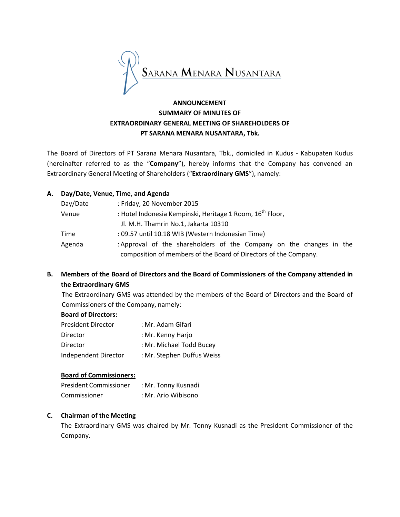

# **ANNOUNCEMENT SUMMARY OF MINUTES OF EXTRAORDINARY GENERAL MEETING OF SHAREHOLDERS OF PT SARANA MENARA NUSANTARA, Tbk.**

The Board of Directors of PT Sarana Menara Nusantara, Tbk., domiciled in Kudus - Kabupaten Kudus (hereinafter referred to as the "**Company**"), hereby informs that the Company has convened an Extraordinary General Meeting of Shareholders ("**Extraordinary GMS**"), namely:

## **A. Day/Date, Venue, Time, and Agenda**

| Day/Date | : Friday, 20 November 2015                                            |  |  |
|----------|-----------------------------------------------------------------------|--|--|
| Venue    | : Hotel Indonesia Kempinski, Heritage 1 Room, 16 <sup>th</sup> Floor, |  |  |
|          | Jl. M.H. Thamrin No.1, Jakarta 10310                                  |  |  |
| Time     | : 09.57 until 10.18 WIB (Western Indonesian Time)                     |  |  |
| Agenda   | : Approval of the shareholders of the Company on the changes in the   |  |  |
|          | composition of members of the Board of Directors of the Company.      |  |  |

## **B. Members of the Board of Directors and the Board of Commissioners of the Company attended in the Extraordinary GMS**

The Extraordinary GMS was attended by the members of the Board of Directors and the Board of Commissioners of the Company, namely:

#### **Board of Directors:**

| : Mr. Adam Gifari          |
|----------------------------|
| : Mr. Kenny Harjo          |
| : Mr. Michael Todd Bucey   |
| : Mr. Stephen Duffus Weiss |
|                            |

#### **Board of Commissioners:**

| President Commissioner | : Mr. Tonny Kusnadi |
|------------------------|---------------------|
| Commissioner           | : Mr. Ario Wibisono |

#### **C. Chairman of the Meeting**

The Extraordinary GMS was chaired by Mr. Tonny Kusnadi as the President Commissioner of the Company.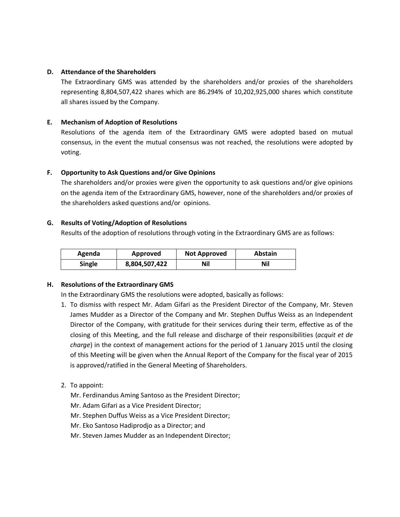### **D. Attendance of the Shareholders**

The Extraordinary GMS was attended by the shareholders and/or proxies of the shareholders representing 8,804,507,422 shares which are 86.294% of 10,202,925,000 shares which constitute all shares issued by the Company.

## **E. Mechanism of Adoption of Resolutions**

Resolutions of the agenda item of the Extraordinary GMS were adopted based on mutual consensus, in the event the mutual consensus was not reached, the resolutions were adopted by voting.

## **F. Opportunity to Ask Questions and/or Give Opinions**

The shareholders and/or proxies were given the opportunity to ask questions and/or give opinions on the agenda item of the Extraordinary GMS, however, none of the shareholders and/or proxies of the shareholders asked questions and/or opinions.

## **G. Results of Voting/Adoption of Resolutions**

Results of the adoption of resolutions through voting in the Extraordinary GMS are as follows:

| Agenda        | Approved      | <b>Not Approved</b> | <b>Abstain</b> |
|---------------|---------------|---------------------|----------------|
| <b>Single</b> | 8,804,507,422 | Nil                 | Nil            |

#### **H. Resolutions of the Extraordinary GMS**

In the Extraordinary GMS the resolutions were adopted, basically as follows:

- 1. To dismiss with respect Mr. Adam Gifari as the President Director of the Company, Mr. Steven James Mudder as a Director of the Company and Mr. Stephen Duffus Weiss as an Independent Director of the Company, with gratitude for their services during their term, effective as of the closing of this Meeting, and the full release and discharge of their responsibilities (*acquit et de charge*) in the context of management actions for the period of 1 January 2015 until the closing of this Meeting will be given when the Annual Report of the Company for the fiscal year of 2015 is approved/ratified in the General Meeting of Shareholders.
- 2. To appoint:
	- Mr. Ferdinandus Aming Santoso as the President Director;
	- Mr. Adam Gifari as a Vice President Director;
	- Mr. Stephen Duffus Weiss as a Vice President Director;
	- Mr. Eko Santoso Hadiprodjo as a Director; and
	- Mr. Steven James Mudder as an Independent Director;